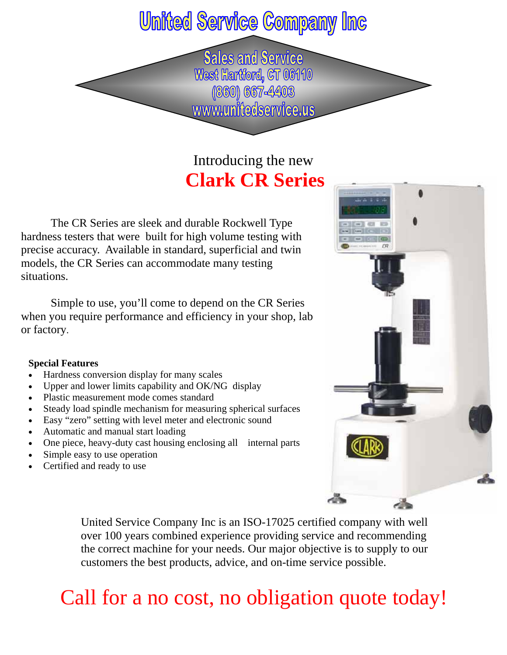## **United Service Company Inc**

**Sales and Service** West Hartford, CT 06110 (860) 667-4403 www.unitedservice.us

### Introducing the new **Clark CR Series**

 The CR Series are sleek and durable Rockwell Type hardness testers that were built for high volume testing with precise accuracy. Available in standard, superficial and twin models, the CR Series can accommodate many testing situations.

 Simple to use, you'll come to depend on the CR Series when you require performance and efficiency in your shop, lab or factory.

#### **Special Features**

- Hardness conversion display for many scales
- Upper and lower limits capability and OK/NG display
- Plastic measurement mode comes standard
- Steady load spindle mechanism for measuring spherical surfaces
- Easy "zero" setting with level meter and electronic sound
- Automatic and manual start loading
- One piece, heavy-duty cast housing enclosing all internal parts
- Simple easy to use operation
- Certified and ready to use



United Service Company Inc is an ISO-17025 certified company with well over 100 years combined experience providing service and recommending the correct machine for your needs. Our major objective is to supply to our customers the best products, advice, and on-time service possible.

## Call for a no cost, no obligation quote today!